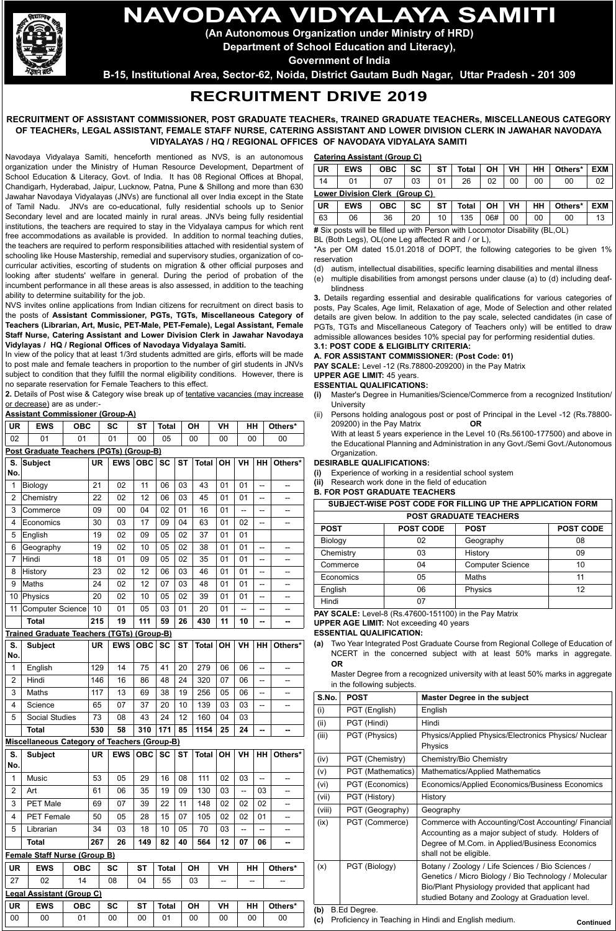# **NAVODAYA VIDYALAYA SAMITI**

**(An Autonomous Organization under Ministry of HRD)**

**Department of School Education and Literacy),**

**Government of India**

**B-15, Institutional Area, Sector-62, Noida, District Gautam Budh Nagar, Uttar Pradesh - 201 309**

# **RECRUITMENT DRIVE 2019**

# **RECRUITMENT OF ASSISTANT COMMISSIONER, POST GRADUATE TEACHERs, TRAINED GRADUATE TEACHERs, MISCELLANEOUS CATEGORY OF TEACHERs, LEGAL ASSISTANT, FEMALE STAFF NURSE, CATERING ASSISTANT AND LOWER DIVISION CLERK IN JAWAHAR NAVODAYA VIDYALAYAS / HQ / REGIONAL OFFICES OF NAVODAYA VIDYALAYA SAMITI**

Navodaya Vidyalaya Samiti, henceforth mentioned as NVS, is an autonomous organization under the Ministry of Human Resource Development, Department of School Education & Literacy, Govt. of India. It has 08 Regional Offices at Bhopal, Chandigarh, Hyderabad, Jaipur, Lucknow, Patna, Pune & Shillong and more than 630 Jawahar Navodaya Vidyalayas (JNVs) are functional all over India except in the State of Tamil Nadu. JNVs are co-educational, fully residential schools up to Senior Secondary level and are located mainly in rural areas. JNVs being fully residential institutions, the teachers are required to stay in the Vidyalaya campus for which rent free accommodations as available is provided. In addition to normal teaching duties, the teachers are required to perform responsibilities attached with residential system of schooling like House Mastership, remedial and supervisory studies, organization of cocurricular activities, escorting of students on migration & other official purposes and looking after students' welfare in general. During the period of probation of the incumbent performance in all these areas is also assessed, in addition to the teaching ability to determine suitability for the job.

NVS invites online applications from Indian citizens for recruitment on direct basis to the posts of **Assistant Commissioner, PGTs, TGTs, Miscellaneous Category of Teachers (Librarian, Art, Music, PET-Male, PET-Female), Legal Assistant, Female Staff Nurse, Catering Assistant and Lower Division Clerk in Jawahar Navodaya Vidylayas / HQ / Regional Offices of Navodaya Vidyalaya Samiti.**

In view of the policy that at least 1/3rd students admitted are girls, efforts will be made to post male and female teachers in proportion to the number of girl students in JNVs subject to condition that they fulfill the normal eligibility conditions. However, there is no separate reservation for Female Teachers to this effect.

2. Details of Post wise & Category wise break up of tentative vacancies (may increase or decrease) are as under:-

# **Assistant Commissioner (Group-A)**

| UR <sup></sup> | <b>EWS</b> | <b>OBC</b> | <b>SC</b> | <b>ST</b> | <b>Total</b> | <b>OH</b> | <b>VH</b> | <b>HH</b> | Others* |
|----------------|------------|------------|-----------|-----------|--------------|-----------|-----------|-----------|---------|
| 02             | 01         |            |           | 00        | 05           | 00        | 00        | 00        | 00      |

# **Post Graduate Teachers (PGTs) (Group-B)**

| 1<br>$\overline{2}$<br>3<br>4<br>5<br>6<br>Hindi<br>7<br>8<br>9<br>Maths<br>10<br>11<br>S.<br>No.<br>$\mathbf 1$ | Biology<br>Chemistry<br>Commerce<br>Economics<br>English<br>Geography<br>History<br>Physics<br><b>Computer Science</b><br><b>Total</b><br>Trained Graduate Teachers (TGTs) (Group-B)<br><b>Subject</b> | 21<br>22<br>09<br>30<br>19<br>19<br>18<br>23<br>24<br>20<br>10<br>215<br><b>UR</b> | 02<br>02<br>00<br>03<br>02<br>02<br>01<br>02<br>02<br>02<br>01<br>19 | 11<br>12<br>04<br>17<br>09<br>10<br>09<br>12<br>12<br>10<br>05<br>111 | 06<br>06<br>02<br>09<br>05<br>05<br>05<br>06<br>07<br>05<br>03 | 03<br>03<br>01<br>04<br>02<br>02<br>02<br>03<br>03<br>02 | 43<br>45<br>16<br>63<br>37<br>38<br>35<br>46<br>48 | 01<br>01<br>01<br>01<br>01<br>01<br>01<br>01<br>01 | 01<br>01<br>$\overline{a}$<br>02<br>01<br>01<br>01<br>01<br>01 | --<br>--<br>$\overline{\phantom{a}}$<br>--<br>--<br>--<br>$\overline{\phantom{a}}$ | --<br>--<br>--<br>--<br>-- |
|------------------------------------------------------------------------------------------------------------------|--------------------------------------------------------------------------------------------------------------------------------------------------------------------------------------------------------|------------------------------------------------------------------------------------|----------------------------------------------------------------------|-----------------------------------------------------------------------|----------------------------------------------------------------|----------------------------------------------------------|----------------------------------------------------|----------------------------------------------------|----------------------------------------------------------------|------------------------------------------------------------------------------------|----------------------------|
|                                                                                                                  |                                                                                                                                                                                                        |                                                                                    |                                                                      |                                                                       |                                                                |                                                          |                                                    |                                                    |                                                                |                                                                                    |                            |
|                                                                                                                  |                                                                                                                                                                                                        |                                                                                    |                                                                      |                                                                       |                                                                |                                                          |                                                    |                                                    |                                                                |                                                                                    |                            |
|                                                                                                                  |                                                                                                                                                                                                        |                                                                                    |                                                                      |                                                                       |                                                                |                                                          |                                                    |                                                    |                                                                |                                                                                    |                            |
|                                                                                                                  |                                                                                                                                                                                                        |                                                                                    |                                                                      |                                                                       |                                                                |                                                          |                                                    |                                                    |                                                                |                                                                                    |                            |
|                                                                                                                  |                                                                                                                                                                                                        |                                                                                    |                                                                      |                                                                       |                                                                |                                                          |                                                    |                                                    |                                                                |                                                                                    |                            |
|                                                                                                                  |                                                                                                                                                                                                        |                                                                                    |                                                                      |                                                                       |                                                                |                                                          |                                                    |                                                    |                                                                |                                                                                    |                            |
|                                                                                                                  |                                                                                                                                                                                                        |                                                                                    |                                                                      |                                                                       |                                                                |                                                          |                                                    |                                                    |                                                                |                                                                                    |                            |
|                                                                                                                  |                                                                                                                                                                                                        |                                                                                    |                                                                      |                                                                       |                                                                |                                                          |                                                    |                                                    |                                                                |                                                                                    |                            |
|                                                                                                                  |                                                                                                                                                                                                        |                                                                                    |                                                                      |                                                                       |                                                                |                                                          |                                                    |                                                    |                                                                |                                                                                    |                            |
|                                                                                                                  |                                                                                                                                                                                                        |                                                                                    |                                                                      |                                                                       |                                                                |                                                          | 39                                                 | 01                                                 | 01                                                             | --                                                                                 | --                         |
|                                                                                                                  |                                                                                                                                                                                                        |                                                                                    |                                                                      |                                                                       |                                                                | 01                                                       | 20                                                 | 01                                                 | $\overline{a}$                                                 | --                                                                                 | --                         |
|                                                                                                                  |                                                                                                                                                                                                        |                                                                                    |                                                                      |                                                                       | 59                                                             | 26                                                       | 430                                                | 11                                                 | 10                                                             | --                                                                                 | --                         |
|                                                                                                                  |                                                                                                                                                                                                        |                                                                                    |                                                                      |                                                                       |                                                                |                                                          |                                                    |                                                    |                                                                |                                                                                    |                            |
|                                                                                                                  |                                                                                                                                                                                                        |                                                                                    | <b>EWS</b>                                                           | <b>OBC</b>                                                            | <b>SC</b>                                                      | <b>ST</b>                                                | <b>Total</b>                                       | <b>OH</b>                                          | <b>VH</b>                                                      | HH                                                                                 | Others*                    |
|                                                                                                                  | English                                                                                                                                                                                                | 129                                                                                | 14                                                                   | 75                                                                    | 41                                                             | 20                                                       | 279                                                | 06                                                 | 06                                                             | --                                                                                 | --                         |
| $\overline{2}$                                                                                                   | Hindi                                                                                                                                                                                                  | 146                                                                                | 16                                                                   | 86                                                                    | 48                                                             | 24                                                       | 320                                                | 07                                                 | 06                                                             | $\overline{\phantom{a}}$                                                           | --                         |
| 3                                                                                                                | Maths                                                                                                                                                                                                  | 117                                                                                | 13                                                                   | 69                                                                    | 38                                                             | 19                                                       | 256                                                | 05                                                 | 06                                                             | --                                                                                 |                            |
| 4                                                                                                                | Science                                                                                                                                                                                                | 65                                                                                 | 07                                                                   | 37                                                                    | 20                                                             | 10                                                       | 139                                                | 03                                                 | 03                                                             | --                                                                                 | --                         |
| 5                                                                                                                | Social Studies                                                                                                                                                                                         | 73                                                                                 | 08                                                                   | 43                                                                    | 24                                                             | 12                                                       | 160                                                | 04                                                 | 03                                                             |                                                                                    |                            |
|                                                                                                                  | <b>Total</b>                                                                                                                                                                                           | 530                                                                                | 58                                                                   | 310                                                                   | 171                                                            | 85                                                       | 1154                                               | 25                                                 | 24                                                             | --                                                                                 |                            |
|                                                                                                                  | <b>Miscellaneous Category of Teachers (Group-B)</b>                                                                                                                                                    |                                                                                    |                                                                      |                                                                       |                                                                |                                                          |                                                    |                                                    |                                                                |                                                                                    |                            |
| S.<br>No.                                                                                                        | <b>Subject</b>                                                                                                                                                                                         | <b>UR</b>                                                                          | <b>EWS</b>                                                           | <b>OBC</b>                                                            | <b>SC</b>                                                      | <b>ST</b>                                                | <b>Total</b>                                       | OH                                                 | VH                                                             | HH                                                                                 | Others*                    |
| 1                                                                                                                | Music                                                                                                                                                                                                  | 53                                                                                 | 05                                                                   | 29                                                                    | 16                                                             | 08                                                       | 111                                                | 02                                                 | 03                                                             | $\overline{\phantom{a}}$                                                           | --                         |
| $\overline{c}$<br>Art                                                                                            |                                                                                                                                                                                                        | 61                                                                                 | 06                                                                   | 35                                                                    | 19                                                             | 09                                                       | 130                                                | 03                                                 | --                                                             | 03                                                                                 | --                         |
| 3                                                                                                                | PET Male                                                                                                                                                                                               | 69                                                                                 | 07                                                                   | 39                                                                    | 22                                                             | 11                                                       | 148                                                | 02                                                 | 02                                                             | 02                                                                                 | --                         |
| 4                                                                                                                | PET Female                                                                                                                                                                                             | 50                                                                                 | 05                                                                   | 28                                                                    | 15                                                             | 07                                                       | 105                                                | 02                                                 | 02                                                             | 01                                                                                 | --                         |
| 5                                                                                                                | Librarian                                                                                                                                                                                              | 34                                                                                 | 03                                                                   | 18                                                                    | 10                                                             | 05                                                       | 70                                                 | 03                                                 | --                                                             | --                                                                                 | --                         |
|                                                                                                                  | Total                                                                                                                                                                                                  | 267                                                                                | 26                                                                   | 149                                                                   | 82                                                             | 40                                                       | 564                                                | 12                                                 | 07                                                             | 06                                                                                 |                            |
|                                                                                                                  | <b>Female Staff Nurse (Group B)</b>                                                                                                                                                                    |                                                                                    |                                                                      |                                                                       |                                                                |                                                          |                                                    |                                                    |                                                                |                                                                                    |                            |
| UR                                                                                                               | <b>EWS</b><br><b>OBC</b>                                                                                                                                                                               |                                                                                    | SC                                                                   | <b>ST</b>                                                             | <b>Total</b>                                                   |                                                          | OH                                                 | VH                                                 | HH                                                             |                                                                                    | Others*                    |
| 27                                                                                                               | 02<br>14                                                                                                                                                                                               |                                                                                    | 08                                                                   | 04                                                                    | 55                                                             |                                                          | 03                                                 |                                                    |                                                                |                                                                                    |                            |
|                                                                                                                  | <b>Legal Assistant (Group C)</b>                                                                                                                                                                       |                                                                                    |                                                                      |                                                                       |                                                                |                                                          |                                                    |                                                    |                                                                |                                                                                    |                            |
| UR                                                                                                               | <b>EWS</b><br><b>OBC</b>                                                                                                                                                                               |                                                                                    | <b>SC</b>                                                            | <b>ST</b>                                                             | <b>Total</b>                                                   |                                                          | OH                                                 | VH                                                 | HH                                                             |                                                                                    | Others*                    |
| 00                                                                                                               | 00<br>01                                                                                                                                                                                               |                                                                                    | 00                                                                   | 00                                                                    | 01                                                             |                                                          | 00                                                 | 00                                                 | 00                                                             |                                                                                    | 00                         |

# **Catering Assistant (Group C)**

| <b>UR</b>                      | <b>EWS</b> | <b>OBC</b> | <b>SC</b> | <b>ST</b> | <b>Total</b> | ΟH | <b>VH</b> | HН | Others* | <b>EXM</b> |
|--------------------------------|------------|------------|-----------|-----------|--------------|----|-----------|----|---------|------------|
| 14                             | 01         | 07         | 03        | 01        | 26           | 02 | 00        | 00 | 00      | 02         |
| Lower Division Clerk (Group C) |            |            |           |           |              |    |           |    |         |            |
| <b>UR</b>                      | <b>EWS</b> | <b>OBC</b> | <b>SC</b> | <b>ST</b> | Total        | ΟН | <b>VH</b> | HH | Others* | <b>EXM</b> |
|                                |            |            |           |           |              |    |           |    |         |            |

63 | 06 | 36 | 20 | 10 | 135 | 06# | 00 | 00 | 00 | 13 **#** Six posts will be filled up with Person with Locomotor Disability (BL,OL)

BL (Both Legs), OL(one Leg affected R and / or L),

\*As per OM dated 15.01.2018 of DOPT, the following categories to be given 1% reservation

(d) autism, intellectual disabilities, specific learning disabilities and mental illness (e) multiple disabilities from amongst persons under clause (a) to (d) including deaf-

blindness **3.** Details regarding essential and desirable qualifications for various categories of posts, Pay Scales, Age limit, Relaxation of age, Mode of Selection and other related details are given below. In addition to the pay scale, selected candidates (in case of PGTs, TGTs and Miscellaneous Category of Teachers only) will be entitled to draw admissible allowances besides 10% special pay for performing residential duties.

# **3.1: POST CODE & ELIGIBLITY CRITERIA:**

**A. FOR ASSISTANT COMMISSIONER: (Post Code: 01)**

**PAY SCALE:** Level -12 (Rs.78800-209200) in the Pay Matrix

#### **UPPER AGE LIMIT:** 45 years. **ESSENTIAL QUALIFICATIONS:**

- **(i)** Master's Degree in Humanities/Science/Commerce from a recognized Institution/ **University**
- (ii) Persons holding analogous post or post of Principal in the Level -12 (Rs.78800- 209200) in the Pay Matrix **OR**

With at least 5 years experience in the Level 10 (Rs.56100-177500) and above in the Educational Planning and Administration in any Govt./Semi Govt./Autonomous Organization.

# **DESIRABLE QUALIFICATIONS:**

**(i)** Experience of working in a residential school system

**(ii)** Research work done in the field of education

**B. FOR POST GRADUATE TEACHERS** 

| SUBJECT-WISE POST CODE FOR FILLING UP THE APPLICATION FORM |                  |                         |                  |  |  |
|------------------------------------------------------------|------------------|-------------------------|------------------|--|--|
| <b>POST GRADUATE TEACHERS</b>                              |                  |                         |                  |  |  |
| <b>POST</b>                                                | <b>POST CODE</b> | <b>POST</b>             | <b>POST CODE</b> |  |  |
| Biology                                                    | 02               | Geography               | 08               |  |  |
| Chemistry                                                  | 03               | History                 | 09               |  |  |
| Commerce                                                   | 04               | <b>Computer Science</b> | 10               |  |  |
| Economics                                                  | 05               | Maths                   | 11               |  |  |
| English                                                    | 06               | Physics                 | 12               |  |  |
| Hindi                                                      |                  |                         |                  |  |  |

**PAY SCALE:** Level-8 (Rs.47600-151100) in the Pay Matrix

#### **UPPER AGE LIMIT:** Not exceeding 40 years

#### **ESSENTIAL QUALIFICATION:**

**(a)** Two Year Integrated Post Graduate Course from Regional College of Education of NCERT in the concerned subject with at least 50% marks in aggregate. **OR**

Master Degree from a recognized university with at least 50% marks in aggregate in the following subjects.

| S.No.  | <b>POST</b>       | <b>Master Degree in the subject</b>                                                                                                                                                                               |  |  |  |  |  |
|--------|-------------------|-------------------------------------------------------------------------------------------------------------------------------------------------------------------------------------------------------------------|--|--|--|--|--|
| (i)    | PGT (English)     | English                                                                                                                                                                                                           |  |  |  |  |  |
| (ii)   | PGT (Hindi)       | Hindi                                                                                                                                                                                                             |  |  |  |  |  |
| (iii)  | PGT (Physics)     | Physics/Applied Physics/Electronics Physics/ Nuclear<br>Physics                                                                                                                                                   |  |  |  |  |  |
| (iv)   | PGT (Chemistry)   | Chemistry/Bio Chemistry                                                                                                                                                                                           |  |  |  |  |  |
| (v)    | PGT (Mathematics) | Mathematics/Applied Mathematics                                                                                                                                                                                   |  |  |  |  |  |
| (vi)   | PGT (Economics)   | Economics/Applied Economics/Business Economics                                                                                                                                                                    |  |  |  |  |  |
| (vii)  | PGT (History)     | History                                                                                                                                                                                                           |  |  |  |  |  |
| (viii) | PGT (Geography)   | Geography                                                                                                                                                                                                         |  |  |  |  |  |
| (ix)   | PGT (Commerce)    | Commerce with Accounting/Cost Accounting/ Financial<br>Accounting as a major subject of study. Holders of<br>Degree of M.Com. in Applied/Business Economics<br>shall not be eligible.                             |  |  |  |  |  |
| (x)    | PGT (Biology)     | Botany / Zoology / Life Sciences / Bio Sciences /<br>Genetics / Micro Biology / Bio Technology / Molecular<br>Bio/Plant Physiology provided that applicant had<br>studied Botany and Zoology at Graduation level. |  |  |  |  |  |
| (b)    | B.Ed Degree.      |                                                                                                                                                                                                                   |  |  |  |  |  |

**(c)** Proficiency in Teaching in Hindi and English medium.

**Continued**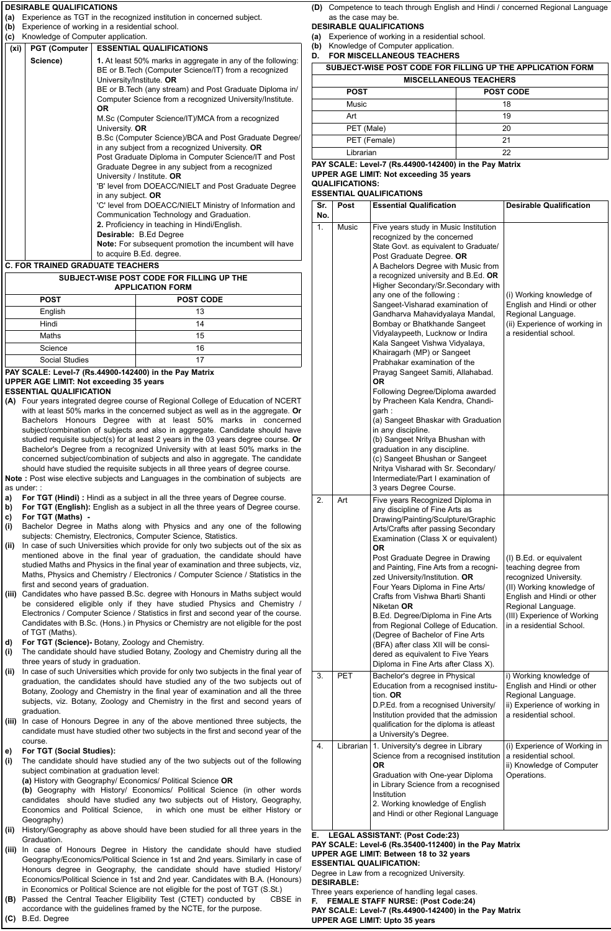# **<sup>26</sup> www.employmentnews.gov.in RECRUITMENT Employment News 6 - 12 July 2019 DESIRABLE QUALIFICATIONS**

**(a)** Experience as TGT in the recognized institution in concerned subject.

**(b)** Experience of working in a residential school.

| (c) Knowledge of Computer application. |                                                                      |
|----------------------------------------|----------------------------------------------------------------------|
|                                        | $\vert$ (vi) $\vert$ PCT (Computer $\vert$ ESSENTIAL OIIALIEICATIONS |

| (xi) | PGT (Computer                         | <b>ESSENTIAL QUALIFICATIONS</b>                                                                                                                  |  |
|------|---------------------------------------|--------------------------------------------------------------------------------------------------------------------------------------------------|--|
|      | Science)                              | 1. At least 50% marks in aggregate in any of the following:<br>BE or B. Tech (Computer Science/IT) from a recognized<br>University/Institute. OR |  |
|      |                                       | BE or B. Tech (any stream) and Post Graduate Diploma in/                                                                                         |  |
|      |                                       | Computer Science from a recognized University/Institute.<br>OR.                                                                                  |  |
|      |                                       | M.Sc (Computer Science/IT)/MCA from a recognized<br>University. OR                                                                               |  |
|      |                                       | B.Sc (Computer Science)/BCA and Post Graduate Degree/<br>in any subject from a recognized University. OR                                         |  |
|      |                                       | Post Graduate Diploma in Computer Science/IT and Post<br>Graduate Degree in any subject from a recognized                                        |  |
|      |                                       | University / Institute. OR                                                                                                                       |  |
|      |                                       | 'B' level from DOEACC/NIELT and Post Graduate Degree                                                                                             |  |
|      |                                       | in any subject. OR                                                                                                                               |  |
|      |                                       | 'C' level from DOEACC/NIELT Ministry of Information and                                                                                          |  |
|      |                                       | Communication Technology and Graduation.                                                                                                         |  |
|      |                                       | 2. Proficiency in teaching in Hindi/English.                                                                                                     |  |
|      |                                       | <b>Desirable:</b> B.Ed Degree                                                                                                                    |  |
|      |                                       | <b>Note:</b> For subsequent promotion the incumbent will have                                                                                    |  |
|      |                                       | to acquire B.Ed. degree.                                                                                                                         |  |
|      | <b>FOR TRAINER ORABITATE TEACHERO</b> |                                                                                                                                                  |  |

#### **C. FOR TRAINED GRADUATE TEACHERS**

| SUBJECT-WISE POST CODE FOR FILLING UP THE<br><b>APPLICATION FORM</b> |                  |  |  |
|----------------------------------------------------------------------|------------------|--|--|
| <b>POST</b>                                                          | <b>POST CODE</b> |  |  |
| English                                                              | 13               |  |  |
| Hindi                                                                | 14               |  |  |
| Maths                                                                | 15               |  |  |
| Science                                                              | 16               |  |  |
| Social Studies                                                       | 17               |  |  |

# **PAY SCALE: Level-7 (Rs.44900-142400) in the Pay Matrix UPPER AGE LIMIT: Not exceeding 35 years**

**ESSENTIAL QUALIFICATION** 

**(A)** Four years integrated degree course of Regional College of Education of NCERT with at least 50% marks in the concerned subject as well as in the aggregate. **Or**  Bachelors Honours Degree with at least 50% marks in concerned subject/combination of subjects and also in aggregate. Candidate should have studied requisite subject(s) for at least 2 years in the 03 years degree course. **Or** Bachelor's Degree from a recognized University with at least 50% marks in the concerned subject/combination of subjects and also in aggregate. The candidate should have studied the requisite subjects in all three years of degree course.

**Note :** Post wise elective subjects and Languages in the combination of subjects are as under:

- **a) For TGT (Hindi) :** Hindi as a subject in all the three years of Degree course.
- **b) For TGT (English):** English as a subject in all the three years of Degree course.
- **c) For TGT (Maths)**
- **(i)** Bachelor Degree in Maths along with Physics and any one of the following subjects: Chemistry, Electronics, Computer Science, Statistics.
- **(ii)** In case of such Universities which provide for only two subjects out of the six as mentioned above in the final year of graduation, the candidate should have studied Maths and Physics in the final year of examination and three subjects, viz, Maths, Physics and Chemistry / Electronics / Computer Science / Statistics in the first and second years of graduation.
- **(iii)** Candidates who have passed B.Sc. degree with Honours in Maths subject would be considered eligible only if they have studied Physics and Chemistry / Electronics / Computer Science / Statistics in first and second year of the course. Candidates with B.Sc. (Hons.) in Physics or Chemistry are not eligible for the post of TGT (Maths).
- **d) For TGT (Science)-** Botany, Zoology and Chemistry.
- **(i)** The candidate should have studied Botany, Zoology and Chemistry during all the three years of study in graduation.
- **(ii)** In case of such Universities which provide for only two subjects in the final year of graduation, the candidates should have studied any of the two subjects out of Botany, Zoology and Chemistry in the final year of examination and all the three subjects, viz. Botany, Zoology and Chemistry in the first and second years of graduation.
- **(iii)** In case of Honours Degree in any of the above mentioned three subjects, the candidate must have studied other two subjects in the first and second year of the course.

#### **e) For TGT (Social Studies):**

- **(i)** The candidate should have studied any of the two subjects out of the following subject combination at graduation level:
	- **(a)** History with Geography/ Economics/ Political Science **OR**

**(b)** Geography with History/ Economics/ Political Science (in other words candidates should have studied any two subjects out of History, Geography, Economics and Political Science, in which one must be either History or Geography)

- **(ii)** History/Geography as above should have been studied for all three years in the Graduation.
- **(iii)** In case of Honours Degree in History the candidate should have studied Geography/Economics/Political Science in 1st and 2nd years. Similarly in case of Honours degree in Geography, the candidate should have studied History/ Economics/Political Science in 1st and 2nd year. Candidates with B.A. (Honours) in Economics or Political Science are not eligible for the post of TGT (S.St.)
- **(B)** Passed the Central Teacher Eligibility Test (CTET) conducted by CBSE in accordance with the guidelines framed by the NCTE, for the purpose. **(C)** B.Ed. Degree

**(D)** Competence to teach through English and Hindi / concerned Regional Language as the case may be.

#### **DESIRABLE QUALIFICATIONS**

- **(a)** Experience of working in a residential school.
- **(b)** Knowledge of Computer application.
- **D. FOR MISCELLANEOUS TEACHERS**

| SUBJECT-WISE POST CODE FOR FILLING UP THE APPLICATION FORM |                  |  |  |  |  |
|------------------------------------------------------------|------------------|--|--|--|--|
| <b>MISCELLANEOUS TEACHERS</b>                              |                  |  |  |  |  |
| <b>POST</b>                                                | <b>POST CODE</b> |  |  |  |  |
| Music                                                      | 18               |  |  |  |  |
| Art                                                        | 19               |  |  |  |  |
| PET (Male)                                                 | 20               |  |  |  |  |
| PET (Female)                                               | 21               |  |  |  |  |
| Librarian                                                  | 22               |  |  |  |  |

**PAY SCALE: Level-7 (Rs.44900-142400) in the Pay Matrix UPPER AGE LIMIT: Not exceeding 35 years QUALIFICATIONS:** 

**ESSENTIAL QUALIFICATIONS** 

| Sr.<br>No. | Post         | <b>Essential Qualification</b>                                                                                                                                                                                                                                                                                                                                                                                                                                                                                                                                                                                                                                                                                                                                                                                                                                                                                                               | <b>Desirable Qualification</b>                                                                                                                                                                                        |
|------------|--------------|----------------------------------------------------------------------------------------------------------------------------------------------------------------------------------------------------------------------------------------------------------------------------------------------------------------------------------------------------------------------------------------------------------------------------------------------------------------------------------------------------------------------------------------------------------------------------------------------------------------------------------------------------------------------------------------------------------------------------------------------------------------------------------------------------------------------------------------------------------------------------------------------------------------------------------------------|-----------------------------------------------------------------------------------------------------------------------------------------------------------------------------------------------------------------------|
| 1.         | <b>Music</b> | Five years study in Music Institution<br>recognized by the concerned<br>State Govt. as equivalent to Graduate/<br>Post Graduate Degree. OR<br>A Bachelors Degree with Music from<br>a recognized university and B.Ed. OR<br>Higher Secondary/Sr.Secondary with<br>any one of the following :<br>Sangeet-Visharad examination of<br>Gandharva Mahavidyalaya Mandal,<br>Bombay or Bhatkhande Sangeet<br>Vidyalaypeeth, Lucknow or Indira<br>Kala Sangeet Vishwa Vidyalaya,<br>Khairagarh (MP) or Sangeet<br>Prabhakar examination of the<br>Prayag Sangeet Samiti, Allahabad.<br>OR<br>Following Degree/Diploma awarded<br>by Pracheen Kala Kendra, Chandi-<br>garh:<br>(a) Sangeet Bhaskar with Graduation<br>in any discipline.<br>(b) Sangeet Nritya Bhushan with<br>graduation in any discipline.<br>(c) Sangeet Bhushan or Sangeet<br>Nritya Visharad with Sr. Secondary/<br>Intermediate/Part I examination of<br>3 years Degree Course. | (i) Working knowledge of<br>English and Hindi or other<br>Regional Language.<br>(ii) Experience of working in<br>a residential school.                                                                                |
| 2.         | Art          | Five years Recognized Diploma in<br>any discipline of Fine Arts as<br>Drawing/Painting/Sculpture/Graphic<br>Arts/Crafts after passing Secondary<br>Examination (Class X or equivalent)<br>ΟR<br>Post Graduate Degree in Drawing<br>and Painting, Fine Arts from a recogni-<br>zed University/Institution. OR<br>Four Years Diploma in Fine Arts/<br>Crafts from Vishwa Bharti Shanti<br>Niketan OR<br>B.Ed. Degree/Diploma in Fine Arts<br>from Regional College of Education.<br>(Degree of Bachelor of Fine Arts<br>(BFA) after class XII will be consi-<br>dered as equivalent to Five Years<br>Diploma in Fine Arts after Class X).                                                                                                                                                                                                                                                                                                      | (I) B.Ed. or equivalent<br>teaching degree from<br>recognized University.<br>(II) Working knowledge of<br>English and Hindi or other<br>Regional Language.<br>(III) Experience of Working<br>in a residential School. |
| 3.         | <b>PET</b>   | Bachelor's degree in Physical<br>Education from a recognised institu-<br>tion. OR<br>D.P.Ed. from a recognised University/<br>Institution provided that the admission<br>qualification for the diploma is atleast<br>a University's Degree.                                                                                                                                                                                                                                                                                                                                                                                                                                                                                                                                                                                                                                                                                                  | i) Working knowledge of<br>English and Hindi or other<br>Regional Language.<br>ii) Experience of working in<br>a residential school.                                                                                  |
| 4.         | Librarian    | 1. University's degree in Library<br>Science from a recognised institution<br>0R<br>Graduation with One-year Diploma<br>in Library Science from a recognised<br>Institution<br>2. Working knowledge of English<br>and Hindi or other Regional Language                                                                                                                                                                                                                                                                                                                                                                                                                                                                                                                                                                                                                                                                                       | (i) Experience of Working in<br>a residential school.<br>ii) Knowledge of Computer<br>Operations.                                                                                                                     |
| Е.         |              | <b>LEGAL ASSISTANT: (Post Code:23)</b>                                                                                                                                                                                                                                                                                                                                                                                                                                                                                                                                                                                                                                                                                                                                                                                                                                                                                                       |                                                                                                                                                                                                                       |

**PAY SCALE: Level-6 (Rs.35400-112400) in the Pay Matrix UPPER AGE LIMIT: Between 18 to 32 years**

**ESSENTIAL QUALIFICATION:**

Degree in Law from a recognized University.

**DESIRABLE:**

Three years experience of handling legal cases.

**F. FEMALE STAFF NURSE: (Post Code:24) PAY SCALE: Level-7 (Rs.44900-142400) in the Pay Matrix UPPER AGE LIMIT: Upto 35 years**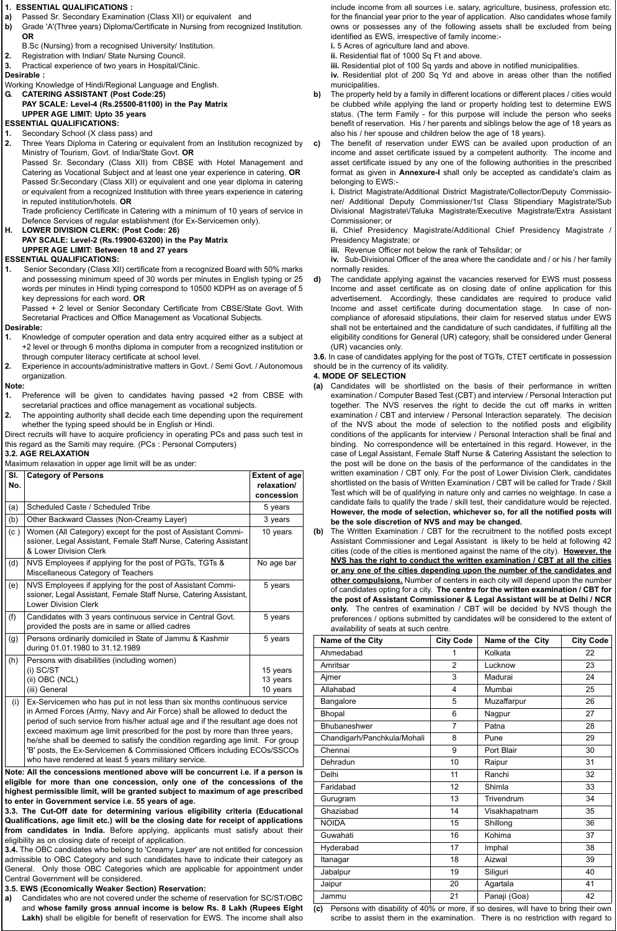# **1. ESSENTIAL QUALIFICATIONS :**

- **a)** Passed Sr. Secondary Examination (Class XII) or equivalent and
- **b)** Grade 'A'(Three years) Diploma/Certificate in Nursing from recognized Institution. **OR**

B.Sc (Nursing) from a recognised University/ Institution.

- **2.** Registration with Indian/ State Nursing Council.
- **3.** Practical experience of two years in Hospital/Clinic.

#### **Desirable :**

Working Knowledge of Hindi/Regional Language and English.

**G. CATERING ASSISTANT (Post Code:25)**

**PAY SCALE: Level-4 (Rs.25500-81100) in the Pay Matrix UPPER AGE LIMIT: Upto 35 years ESSENTIAL QUALIFICATIONS:**

# **1.** Secondary School (X class pass) and

**2.** Three Years Diploma in Catering or equivalent from an Institution recognized by Ministry of Tourism, Govt. of India/State Govt. **OR**

Passed Sr. Secondary (Class XII) from CBSE with Hotel Management and Catering as Vocational Subject and at least one year experience in catering. **OR** Passed Sr.Secondary (Class XII) or equivalent and one year diploma in catering or equivalent from a recognized Institution with three years experience in catering in reputed institution/hotels. **OR** 

Trade proficiency Certificate in Catering with a minimum of 10 years of service in Defence Services of regular establishment (for Ex-Servicemen only).

**H. LOWER DIVISION CLERK: (Post Code: 26)**

# **PAY SCALE: Level-2 (Rs.19900-63200) in the Pay Matrix UPPER AGE LIMIT: Between 18 and 27 years**

#### **ESSENTIAL QUALIFICATIONS:**

- **1.** Senior Secondary (Class XII) certificate from a recognized Board with 50% marks and possessing minimum speed of 30 words per minutes in English typing or 25 words per minutes in Hindi typing correspond to 10500 KDPH as on average of 5 key depressions for each word. **OR**
- Passed + 2 level or Senior Secondary Certificate from CBSE/State Govt. With

#### Secretarial Practices and Office Management as Vocational Subjects. **Desirable:**

- **1.** Knowledge of computer operation and data entry acquired either as a subject at +2 level or through 6 months diploma in computer from a recognized institution or through computer literacy certificate at school level.
- **2.** Experience in accounts/administrative matters in Govt. / Semi Govt. / Autonomous organization.

#### **Note:**

- **1.** Preference will be given to candidates having passed +2 from CBSE with secretarial practices and office management as vocational subjects.
- **2.** The appointing authority shall decide each time depending upon the requirement whether the typing speed should be in English or Hindi.
- Direct recruits will have to acquire proficiency in operating PCs and pass such test in this regard as the Samiti may require. (PCs : Personal Computers)

#### **3.2. AGE RELAXATION**

Maximum relaxation in upper age limit will be as under:

| SI.<br>No. | <b>Category of Persons</b>                                                                                                                                     | <b>Extent of age</b><br>relaxation/<br>concession |
|------------|----------------------------------------------------------------------------------------------------------------------------------------------------------------|---------------------------------------------------|
| (a)        | Scheduled Caste / Scheduled Tribe                                                                                                                              | 5 years                                           |
| (b)        | Other Backward Classes (Non-Creamy Layer)                                                                                                                      | 3 years                                           |
| (c)        | Women (All Category) except for the post of Assistant Commi-<br>ssioner, Legal Assistant, Female Staff Nurse, Catering Assistant<br>& Lower Division Clerk     | 10 years                                          |
| (d)        | NVS Employees if applying for the post of PGTs, TGTs &<br>Miscellaneous Category of Teachers                                                                   | No age bar                                        |
| (e)        | NVS Employees if applying for the post of Assistant Commi-<br>ssioner, Legal Assistant, Female Staff Nurse, Catering Assistant,<br><b>Lower Division Clerk</b> | 5 years                                           |
| (f)        | Candidates with 3 years continuous service in Central Govt.<br>provided the posts are in same or allied cadres                                                 | 5 years                                           |
| (g)        | Persons ordinarily domiciled in State of Jammu & Kashmir<br>during 01.01.1980 to 31.12.1989                                                                    | 5 years                                           |
| (h)        | Persons with disabilities (including women)<br>$(i)$ SC/ST<br>(ii) OBC (NCL)<br>(iii) General                                                                  | 15 years<br>13 years<br>10 years                  |
| (i)        | Ex-Servicemen who has put in not less than six months continuous service                                                                                       |                                                   |

in Armed Forces (Army, Navy and Air Force) shall be allowed to deduct the period of such service from his/her actual age and if the resultant age does not exceed maximum age limit prescribed for the post by more than three years, he/she shall be deemed to satisfy the condition regarding age limit. For group 'B' posts, the Ex-Servicemen & Commissioned Officers including ECOs/SSCOs who have rendered at least 5 years military service.

**Note: All the concessions mentioned above will be concurrent i.e. if a person is eligible for more than one concession, only one of the concessions of the highest permissible limit, will be granted subject to maximum of age prescribed to enter in Government service i.e. 55 years of age.**

**3.3. The Cut-Off date for determining various eligibility criteria (Educational Qualifications, age limit etc.) will be the closing date for receipt of applications from candidates in India.** Before applying, applicants must satisfy about their eligibility as on closing date of receipt of application.

**3.4.** The OBC candidates who belong to 'Creamy Layer' are not entitled for concession admissible to OBC Category and such candidates have to indicate their category as General. Only those OBC Categories which are applicable for appointment under Central Government will be considered.

#### **3.5. EWS (Economically Weaker Section) Reservation:**

**a)** Candidates who are not covered under the scheme of reservation for SC/ST/OBC and **whose family gross annual income is below Rs. 8 Lakh (Rupees Eight** Lakh) shall be eligible for benefit of reservation for EWS. The income shall also

include income from all sources i.e. salary, agriculture, business, profession etc. for the financial year prior to the year of application. Also candidates whose family owns or possesses any of the following assets shall be excluded from being identified as EWS, irrespective of family income:-

**i.** 5 Acres of agriculture land and above.

**ii.** Residential flat of 1000 Sq Ft and above.

**iii.** Residential plot of 100 Sq yards and above in notified municipalities.

**iv.** Residential plot of 200 Sq Yd and above in areas other than the notified municipalities.

**b)** The property held by a family in different locations or different places / cities would be clubbed while applying the land or property holding test to determine EWS status. (The term Family - for this purpose will include the person who seeks benefit of reservation. His / her parents and siblings below the age of 18 years as also his / her spouse and children below the age of 18 years).

**c)** The benefit of reservation under EWS can be availed upon production of an income and asset certificate issued by a competent authority. The income and asset certificate issued by any one of the following authorities in the prescribed format as given in **Annexure-I** shall only be accepted as candidate's claim as belonging to EWS:-

**i.** District Magistrate/Additional District Magistrate/Collector/Deputy Commissioner/ Additional Deputy Commissioner/1st Class Stipendiary Magistrate/Sub Divisional Magistrate\/Taluka Magistrate/Executive Magistrate/Extra Assistant Commissioner; or

**ii.** Chief Presidency Magistrate/Additional Chief Presidency Magistrate / Presidency Magistrate; or

**iii.** Revenue Officer not below the rank of Tehsildar; or

**iv.** Sub-Divisional Officer of the area where the candidate and / or his / her family normally resides.

**d)** The candidate applying against the vacancies reserved for EWS must possess Income and asset certificate as on closing date of online application for this advertisement. Accordingly, these candidates are required to produce valid Income and asset certificate during documentation stage. In case of noncompliance of aforesaid stipulations, their claim for reserved status under EWS shall not be entertained and the candidature of such candidates, if fulfilling all the eligibility conditions for General (UR) category, shall be considered under General (UR) vacancies only.

**3.6.** In case of candidates applying for the post of TGTs, CTET certificate in possession should be in the currency of its validity.

#### **4. MODE OF SELECTION**

- **(a)** Candidates will be shortlisted on the basis of their performance in written examination / Computer Based Test (CBT) and interview / Personal Interaction put together. The NVS reserves the right to decide the cut off marks in written examination / CBT and interview / Personal Interaction separately. The decision of the NVS about the mode of selection to the notified posts and eligibility conditions of the applicants for interview / Personal Interaction shall be final and binding. No correspondence will be entertained in this regard. However, in the case of Legal Assistant, Female Staff Nurse & Catering Assistant the selection to the post will be done on the basis of the performance of the candidates in the written examination / CBT only. For the post of Lower Division Clerk, candidates shortlisted on the basis of Written Examination / CBT will be called for Trade / Skill Test which will be of qualifying in nature only and carries no weightage. In case a candidate fails to qualify the trade / skill test, their candidature would be rejected. **However, the mode of selection, whichever so, for all the notified posts will be the sole discretion of NVS and may be changed.**
- **(b)** The Written Examination / CBT for the recruitment to the notified posts except Assistant Commissioner and Legal Assistant is likely to be held at following 42 cities (code of the cities is mentioned against the name of the city). **However, the NVS has the right to conduct the written examination / CBT at all the cities or any one of the cities depending upon the number of the candidates and other compulsions.** Number of centers in each city will depend upon the number of candidates opting for a city. **The centre for the written examination / CBT for the post of Assistant Commissioner & Legal Assistant will be at Delhi / NCR only.** The centres of examination / CBT will be decided by NVS though the preferences / options submitted by candidates will be considered to the extent of availability of seats at such centre.

| Name of the City            | <b>City Code</b>        | Name of the City | <b>City Code</b> |  |  |  |
|-----------------------------|-------------------------|------------------|------------------|--|--|--|
| Ahmedabad                   | 1                       | Kolkata          | 22               |  |  |  |
| Amritsar                    | $\overline{2}$          | Lucknow          | 23               |  |  |  |
| Ajmer                       | 3                       | Madurai          | 24               |  |  |  |
| Allahabad                   | $\overline{\mathbf{4}}$ | Mumbai           | 25               |  |  |  |
| Bangalore                   | 5                       | Muzaffarpur      | 26               |  |  |  |
| Bhopal                      | 6                       | Nagpur           | 27               |  |  |  |
| Bhubaneshwer                | 7                       | Patna            | 28               |  |  |  |
| Chandigarh/Panchkula/Mohali | 8                       | Pune             | 29               |  |  |  |
| Chennai                     | 9                       | Port Blair       | 30               |  |  |  |
| Dehradun                    | 10                      | Raipur           | 31               |  |  |  |
| Delhi                       | 11                      | Ranchi           | 32               |  |  |  |
| Faridabad                   | 12                      | Shimla           | 33               |  |  |  |
| Gurugram                    | 13                      | Trivendrum       | 34               |  |  |  |
| Ghaziabad                   | 14                      | Visakhapatnam    | 35               |  |  |  |
| <b>NOIDA</b>                | 15                      | Shillong         | 36               |  |  |  |
| Guwahati                    | 16                      | Kohima           | 37               |  |  |  |
| Hyderabad                   | 17                      | Imphal           | 38               |  |  |  |
| Itanagar                    | 18                      | Aizwal           | 39               |  |  |  |
| Jabalpur                    | 19                      | Siliguri         | 40               |  |  |  |
| Jaipur                      | 20                      | Agartala         | 41               |  |  |  |
| Jammu                       | 21                      | Panaji (Goa)     | 42               |  |  |  |

**(c)** Persons with disability of 40% or more, if so desires, will have to bring their own scribe to assist them in the examination. There is no restriction with regard to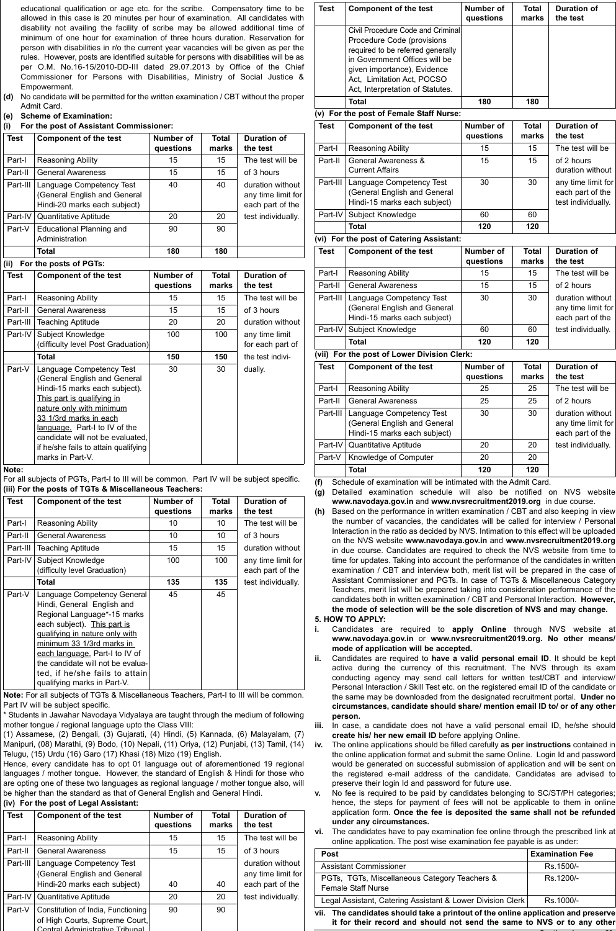educational qualification or age etc. for the scribe. Compensatory time to be allowed in this case is 20 minutes per hour of examination. All candidates with disability not availing the facility of scribe may be allowed additional time of minimum of one hour for examination of three hours duration. Reservation for person with disabilities in r/o the current year vacancies will be given as per the rules. However, posts are identified suitable for persons with disabilities will be as per O.M. No.16-15/2010-DD-III dated 29.07.2013 by Office of the Chief Commissioner for Persons with Disabilities, Ministry of Social Justice & Empowerment.

- **(d)** No candidate will be permitted for the written examination / CBT without the proper Admit Card.
- **(e) Scheme of Examination:**
- **(i) For the post of Assistant Commissioner:**

| <b>Test</b> | <b>Component of the test</b>                                                             | Number of<br>questions | <b>Total</b><br>marks | Duration of<br>the test                                    |
|-------------|------------------------------------------------------------------------------------------|------------------------|-----------------------|------------------------------------------------------------|
| Part-I      | Reasoning Ability                                                                        | 15                     | 15                    | The test will be                                           |
| Part-II     | <b>General Awareness</b>                                                                 | 15                     | 15                    | of 3 hours                                                 |
| Part-III    | Language Competency Test<br>(General English and General<br>Hindi-20 marks each subject) | 40                     | 40                    | duration without<br>any time limit for<br>each part of the |
| Part-IV     | Quantitative Aptitude                                                                    | 20                     | 20                    | test individually.                                         |
| Part-V      | Educational Planning and<br>Administration                                               | 90                     | 90                    |                                                            |
| 1.1.1       | Total<br>$- - - -$                                                                       | 180                    | 180                   |                                                            |

#### **(ii) For the posts of PGTs:**

| <b>Test</b> | <b>Component of the test</b>                                                                                                                                                                                                                                                                                   | Number of<br>questions | <b>Total</b><br>marks | Duration of<br>the test            |
|-------------|----------------------------------------------------------------------------------------------------------------------------------------------------------------------------------------------------------------------------------------------------------------------------------------------------------------|------------------------|-----------------------|------------------------------------|
| Part-I      | Reasoning Ability                                                                                                                                                                                                                                                                                              | 15                     | 15                    | The test will be                   |
| Part-II     | General Awareness                                                                                                                                                                                                                                                                                              | 15                     | 15                    | of 3 hours                         |
| Part-III    | <b>Teaching Aptitude</b>                                                                                                                                                                                                                                                                                       | 20                     | 20                    | duration without                   |
| Part-IV     | Subject Knowledge<br>(difficulty level Post Graduation)                                                                                                                                                                                                                                                        | 100                    | 100                   | any time limit<br>for each part of |
|             | <b>Total</b>                                                                                                                                                                                                                                                                                                   | 150                    | 150                   | the test indivi-                   |
| Part-V      | Language Competency Test<br>(General English and General<br>Hindi-15 marks each subject).<br>This part is qualifying in<br>nature only with minimum<br>33 1/3rd marks in each<br>language. Part-I to IV of the<br>candidate will not be evaluated.<br>if he/she fails to attain qualifying<br>marks in Part-V. | 30                     | 30                    | dually.                            |

**Note:**

For all subjects of PGTs, Part-I to III will be common. Part IV will be subject specific. **(iii) For the posts of TGTs & Miscellaneous Teachers:**

| <b>Test</b> | <b>Component of the test</b>                                                                                                                                                                                                                                                                                                   | Number of<br>questions | Total<br>marks | <b>Duration of</b><br>the test         |
|-------------|--------------------------------------------------------------------------------------------------------------------------------------------------------------------------------------------------------------------------------------------------------------------------------------------------------------------------------|------------------------|----------------|----------------------------------------|
| Part-I      | Reasoning Ability                                                                                                                                                                                                                                                                                                              | 10                     | 10             | The test will be                       |
| Part-II     | <b>General Awareness</b>                                                                                                                                                                                                                                                                                                       | 10                     | 10             | of 3 hours                             |
| Part-III    | <b>Teaching Aptitude</b>                                                                                                                                                                                                                                                                                                       | 15                     | 15             | duration without                       |
| Part-IV     | Subject Knowledge<br>(difficulty level Graduation)                                                                                                                                                                                                                                                                             | 100                    | 100            | any time limit for<br>each part of the |
|             | Total                                                                                                                                                                                                                                                                                                                          | 135                    | 135            | test individually.                     |
| Part-V      | Language Competency General<br>Hindi, General English and<br>Regional Language*-15 marks<br>each subject). This part is<br>qualifying in nature only with<br>minimum 33 1/3rd marks in<br>each language. Part-I to IV of<br>the candidate will not be evalua-<br>ted, if he/she fails to attain<br>qualifying marks in Part-V. | 45                     | 45             |                                        |

**Note:** For all subjects of TGTs & Miscellaneous Teachers, Part-I to III will be common. Part IV will be subject specific.

\* Students in Jawahar Navodaya Vidyalaya are taught through the medium of following mother tongue / regional language upto the Class VIII:

(1) Assamese, (2) Bengali, (3) Gujarati, (4) Hindi, (5) Kannada, (6) Malayalam, (7) Manipuri, (08) Marathi, (9) Bodo, (10) Nepali, (11) Oriya, (12) Punjabi, (13) Tamil, (14) Telugu, (15) Urdu (16) Garo (17) Khasi (18) Mizo (19) English.

Hence, every candidate has to opt 01 language out of aforementioned 19 regional languages / mother tongue. However, the standard of English & Hindi for those who are opting one of these two languages as regional language / mother tongue also, will be higher than the standard as that of General English and General Hindi.

# **(iv) For the post of Legal Assistant:**

| <b>Test</b> | <b>Component of the test</b>                                                                            | Number of<br>questions | <b>Total</b><br>marks | <b>Duration of</b><br>the test                             |
|-------------|---------------------------------------------------------------------------------------------------------|------------------------|-----------------------|------------------------------------------------------------|
| Part-I      | Reasoning Ability                                                                                       | 15                     | 15                    | The test will be                                           |
| Part-II     | <b>General Awareness</b>                                                                                | 15                     | 15                    | of 3 hours                                                 |
| Part-III    | Language Competency Test<br>(General English and General<br>Hindi-20 marks each subject)                | 40                     | 40                    | duration without<br>any time limit for<br>each part of the |
| Part-IV     | Quantitative Aptitude                                                                                   | 20                     | 20                    | test individually.                                         |
| Part-V      | Constitution of India, Functioning<br>of High Courts, Supreme Court,<br>Central Administrative Tribunal | 90                     | 90                    |                                                            |

| Test        | <b>Component of the test</b>                                                                                                                                                                                                           | Number of<br>questions        | <b>Total</b><br>marks | <b>Duration of</b><br>the test                               |
|-------------|----------------------------------------------------------------------------------------------------------------------------------------------------------------------------------------------------------------------------------------|-------------------------------|-----------------------|--------------------------------------------------------------|
|             | Civil Procedure Code and Criminal<br>Procedure Code (provisions<br>required to be referred generally<br>in Government Offices will be<br>given importance), Evidence<br>Act, Limitation Act, POCSO<br>Act, Interpretation of Statutes. |                               |                       |                                                              |
|             | <b>Total</b>                                                                                                                                                                                                                           | 180                           | 180                   |                                                              |
|             | (v) For the post of Female Staff Nurse:                                                                                                                                                                                                |                               |                       |                                                              |
| <b>Test</b> | <b>Component of the test</b>                                                                                                                                                                                                           | Number of<br>questions        | <b>Total</b><br>marks | <b>Duration of</b><br>the test                               |
| Part-I      | <b>Reasoning Ability</b>                                                                                                                                                                                                               | 15                            | 15                    | The test will be                                             |
| Part-II     | General Awareness &<br><b>Current Affairs</b>                                                                                                                                                                                          | 15                            | 15                    | of 2 hours<br>duration without                               |
| Part-III    | Language Competency Test<br>(General English and General<br>Hindi-15 marks each subject)                                                                                                                                               | 30                            | 30                    | any time limit for<br>each part of the<br>test individually. |
| Part-IV     | Subject Knowledge                                                                                                                                                                                                                      | 60                            | 60                    |                                                              |
|             | <b>Total</b>                                                                                                                                                                                                                           | 120                           | 120                   |                                                              |
|             | (vi) For the post of Catering Assistant:                                                                                                                                                                                               |                               |                       |                                                              |
| <b>Test</b> | <b>Component of the test</b>                                                                                                                                                                                                           | <b>Number of</b><br>questions | <b>Total</b><br>marks | <b>Duration of</b><br>the test                               |
| Part-I      | <b>Reasoning Ability</b>                                                                                                                                                                                                               | 15                            | 15                    | The test will be                                             |
| Part-II     | <b>General Awareness</b>                                                                                                                                                                                                               | 15                            | 15                    | of 2 hours                                                   |
| Part-III    | Language Competency Test<br>(General English and General<br>Hindi-15 marks each subject)                                                                                                                                               | 30                            | 30                    | duration without<br>any time limit for<br>each part of the   |
| Part-IV     | Subject Knowledge                                                                                                                                                                                                                      | 60                            | 60                    | test individually.                                           |
|             | <b>Total</b>                                                                                                                                                                                                                           | 120                           | 120                   |                                                              |
|             | (vii) For the post of Lower Division Clerk:                                                                                                                                                                                            |                               |                       |                                                              |
| <b>Test</b> | <b>Component of the test</b>                                                                                                                                                                                                           | Number of<br>questions        | <b>Total</b><br>marks | <b>Duration of</b><br>the test                               |
| Part-I      | Reasoning Ability                                                                                                                                                                                                                      | 25                            | 25                    | The test will be                                             |
| Part-II     | <b>General Awareness</b>                                                                                                                                                                                                               | 25                            | 25                    | of 2 hours                                                   |
| Part-III    | Language Competency Test<br>(General English and General<br>Hindi-15 marks each subject)                                                                                                                                               | 30                            | 30                    | duration without<br>any time limit for<br>each part of the   |
| Part-IV     | Quantitative Aptitude                                                                                                                                                                                                                  | 20                            | 20                    | test individually.                                           |
| Part-V      | Knowledge of Computer                                                                                                                                                                                                                  | 20                            | 20                    |                                                              |
|             | <b>Total</b>                                                                                                                                                                                                                           | 120                           | 120                   |                                                              |

**(f)** Schedule of examination will be intimated with the Admit Card.

**(g)** Detailed examination schedule will also be notified on NVS website **www.navodaya.gov.in** and **www.nvsrecruitment2019.org** in due course.

**(h)** Based on the performance in written examination / CBT and also keeping in view the number of vacancies, the candidates will be called for interview / Personal Interaction in the ratio as decided by NVS. Intimation to this effect will be uploaded on the NVS website **www.navodaya.gov.in** and **www.nvsrecruitment2019.org** in due course. Candidates are required to check the NVS website from time to time for updates. Taking into account the performance of the candidates in written examination / CBT and interview both, merit list will be prepared in the case of Assistant Commissioner and PGTs. In case of TGTs & Miscellaneous Category Teachers, merit list will be prepared taking into consideration performance of the candidates both in written examination / CBT and Personal Interaction. **However, the mode of selection will be the sole discretion of NVS and may change.**

#### **5. HOW TO APPLY:**

- **i.** Candidates are required to **apply Online** through NVS website at **www.navodaya.gov.in** or **www.nvsrecruitment2019.org. No other means/ mode of application will be accepted.**
- **ii.** Candidates are required to **have a valid personal email ID**. It should be kept active during the currency of this recruitment. The NVS through its exam conducting agency may send call letters for written test/CBT and interview/ Personal Interaction / Skill Test etc. on the registered email ID of the candidate or the same may be downloaded from the designated recruitment portal. **Under no circumstances, candidate should share/ mention email ID to/ or of any other person.**
- **iii.** In case, a candidate does not have a valid personal email ID, he/she should **create his/ her new email ID** before applying Online.
- **iv.** The online applications should be filled carefully **as per instructions** contained in the online application format and submit the same Online. Login Id and password would be generated on successful submission of application and will be sent on the registered e-mail address of the candidate. Candidates are advised to preserve their login Id and password for future use.
- **v.** No fee is required to be paid by candidates belonging to SC/ST/PH categories; hence, the steps for payment of fees will not be applicable to them in online application form. **Once the fee is deposited the same shall not be refunded under any circumstances.**
- **vi.** The candidates have to pay examination fee online through the prescribed link at online application. The post wise examination fee payable is as under:

| <b>Post</b>                                                                       | <b>Examination Fee</b> |  |  |  |
|-----------------------------------------------------------------------------------|------------------------|--|--|--|
| Assistant Commissioner                                                            | Rs.1500/-              |  |  |  |
| PGTs. TGTs, Miscellaneous Category Teachers &<br>Female Staff Nurse               | Rs.1200/-              |  |  |  |
| Legal Assistant, Catering Assistant & Lower Division Clerk<br>Rs.1000/-           |                        |  |  |  |
| vii. The candidates should take a printout of the online application and preserve |                        |  |  |  |

**it for their record and should not send the same to NVS or to any other Continued on page 29**